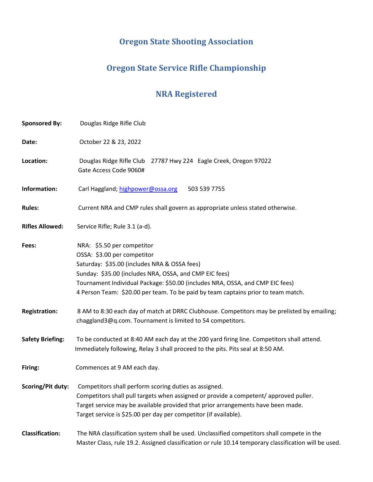# **Oregon State Shooting Association**

## **Oregon State Service Rifle Championship**

## **NRA Registered**

| <b>Sponsored By:</b>    | Douglas Ridge Rifle Club                                                                                                                                                                                                                                                                                                                  |  |  |
|-------------------------|-------------------------------------------------------------------------------------------------------------------------------------------------------------------------------------------------------------------------------------------------------------------------------------------------------------------------------------------|--|--|
| Date:                   | October 22 & 23, 2022                                                                                                                                                                                                                                                                                                                     |  |  |
| Location:               | Douglas Ridge Rifle Club 27787 Hwy 224 Eagle Creek, Oregon 97022<br>Gate Access Code 9060#                                                                                                                                                                                                                                                |  |  |
| Information:            | Carl Haggland; highpower@ossa.org<br>503 539 7755                                                                                                                                                                                                                                                                                         |  |  |
| <b>Rules:</b>           | Current NRA and CMP rules shall govern as appropriate unless stated otherwise.                                                                                                                                                                                                                                                            |  |  |
| <b>Rifles Allowed:</b>  | Service Rifle; Rule 3.1 (a-d).                                                                                                                                                                                                                                                                                                            |  |  |
| Fees:                   | NRA: \$5.50 per competitor<br>OSSA: \$3.00 per competitor<br>Saturday: \$35.00 (includes NRA & OSSA fees)<br>Sunday: \$35.00 (includes NRA, OSSA, and CMP EIC fees)<br>Tournament Individual Package: \$50.00 (includes NRA, OSSA, and CMP EIC fees)<br>4 Person Team: \$20.00 per team. To be paid by team captains prior to team match. |  |  |
| <b>Registration:</b>    | 8 AM to 8:30 each day of match at DRRC Clubhouse. Competitors may be prelisted by emailing;<br>chaggland3@q.com. Tournament is limited to 54 competitors.                                                                                                                                                                                 |  |  |
| <b>Safety Briefing:</b> | To be conducted at 8:40 AM each day at the 200 yard firing line. Competitors shall attend.<br>Immediately following, Relay 3 shall proceed to the pits. Pits seal at 8:50 AM.                                                                                                                                                             |  |  |
| Firing:                 | Commences at 9 AM each day.                                                                                                                                                                                                                                                                                                               |  |  |
| Scoring/Pit duty:       | Competitors shall perform scoring duties as assigned.<br>Competitors shall pull targets when assigned or provide a competent/approved puller.<br>Target service may be available provided that prior arrangements have been made.<br>Target service is \$25.00 per day per competitor (if available).                                     |  |  |
| <b>Classification:</b>  | The NRA classification system shall be used. Unclassified competitors shall compete in the<br>Master Class, rule 19.2. Assigned classification or rule 10.14 temporary classification will be used.                                                                                                                                       |  |  |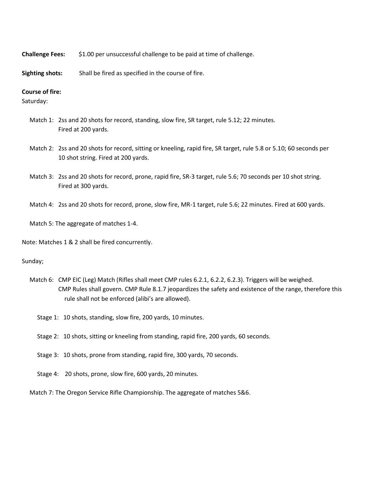**Challenge Fees:** \$1.00 per unsuccessful challenge to be paid at time of challenge.

**Sighting shots:** Shall be fired as specified in the course of fire.

#### **Course of fire:**

Saturday:

- Match 1: 2ss and 20 shots for record, standing, slow fire, SR target, rule 5.12; 22 minutes. Fired at 200 yards.
- Match 2: 2ss and 20 shots for record, sitting or kneeling, rapid fire, SR target, rule 5.8 or 5.10; 60 seconds per 10 shot string. Fired at 200 yards.
- Match 3: 2ss and 20 shots for record, prone, rapid fire, SR-3 target, rule 5.6; 70 seconds per 10 shot string. Fired at 300 yards.
- Match 4: 2ss and 20 shots for record, prone, slow fire, MR-1 target, rule 5.6; 22 minutes. Fired at 600 yards.

Match 5: The aggregate of matches 1-4.

Note: Matches 1 & 2 shall be fired concurrently.

Sunday;

- Match 6: CMP EIC (Leg) Match (Rifles shall meet CMP rules 6.2.1, 6.2.2, 6.2.3). Triggers will be weighed. CMP Rules shall govern. CMP Rule 8.1.7 jeopardizes the safety and existence of the range, therefore this rule shall not be enforced (alibi's are allowed).
	- Stage 1: 10 shots, standing, slow fire, 200 yards, 10 minutes.
	- Stage 2: 10 shots, sitting or kneeling from standing, rapid fire, 200 yards, 60 seconds.
	- Stage 3: 10 shots, prone from standing, rapid fire, 300 yards, 70 seconds.
	- Stage 4: 20 shots, prone, slow fire, 600 yards, 20 minutes.

Match 7: The Oregon Service Rifle Championship. The aggregate of matches 5&6.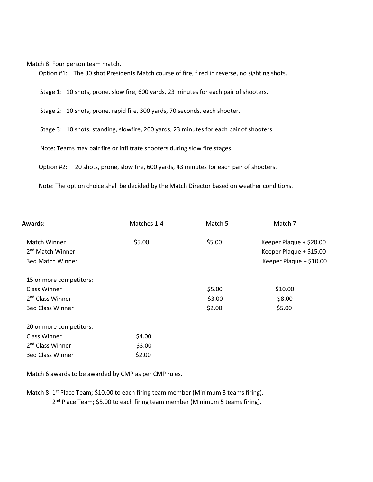Match 8: Four person team match.

Option #1: The 30 shot Presidents Match course of fire, fired in reverse, no sighting shots.

Stage 1: 10 shots, prone, slow fire, 600 yards, 23 minutes for each pair of shooters.

Stage 2: 10 shots, prone, rapid fire, 300 yards, 70 seconds, each shooter.

Stage 3: 10 shots, standing, slowfire, 200 yards, 23 minutes for each pair of shooters.

Note: Teams may pair fire or infiltrate shooters during slow fire stages.

Option #2: 20 shots, prone, slow fire, 600 yards, 43 minutes for each pair of shooters.

Note: The option choice shall be decided by the Match Director based on weather conditions.

| Matches 1-4                  | Match 5 | Match 7                                                                       |
|------------------------------|---------|-------------------------------------------------------------------------------|
| \$5.00                       | \$5.00  | Keeper Plaque + \$20.00<br>Keeper Plaque + \$15.00<br>Keeper Plaque + \$10.00 |
|                              |         |                                                                               |
|                              |         |                                                                               |
|                              | \$5.00  | \$10.00                                                                       |
| 2 <sup>nd</sup> Class Winner |         | \$8.00                                                                        |
|                              | \$2.00  | \$5.00                                                                        |
|                              |         |                                                                               |
| \$4.00                       |         |                                                                               |
| \$3.00                       |         |                                                                               |
| \$2.00                       |         |                                                                               |
|                              |         | \$3.00                                                                        |

Match 6 awards to be awarded by CMP as per CMP rules.

Match 8: 1<sup>st</sup> Place Team; \$10.00 to each firing team member (Minimum 3 teams firing).

2<sup>nd</sup> Place Team; \$5.00 to each firing team member (Minimum 5 teams firing).